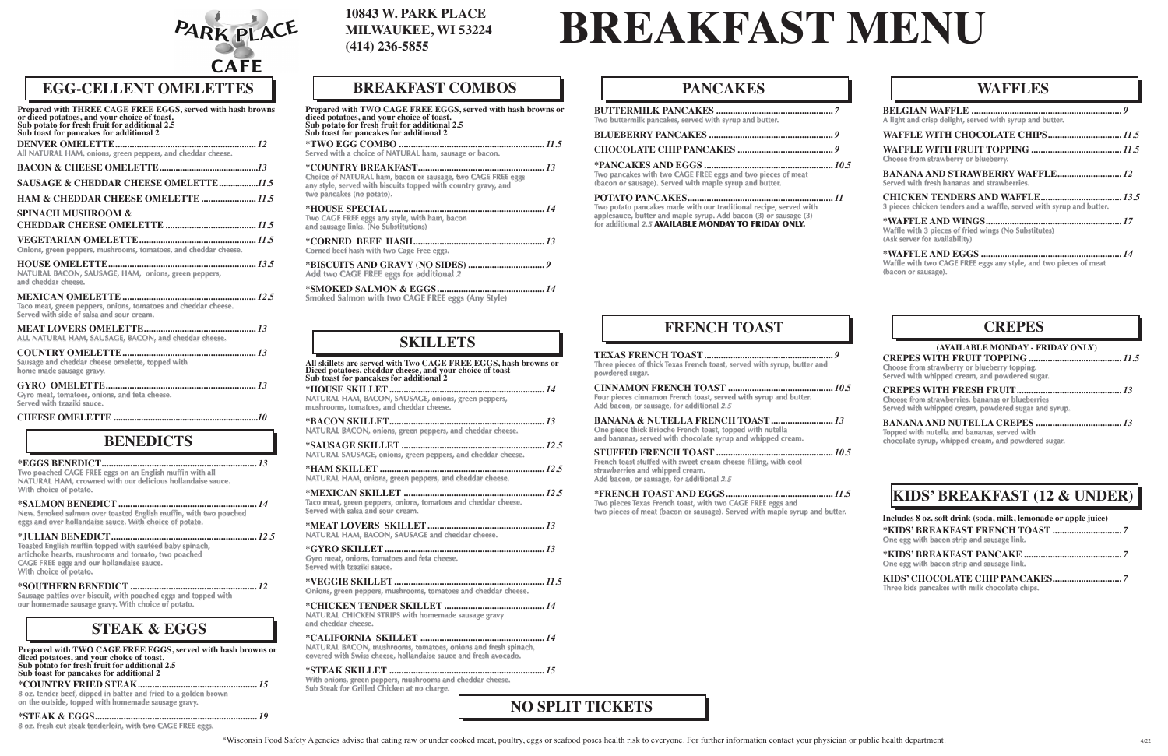| Prepared with THREE CAGE FREE EGGS, served with hash browns<br>or diced potatoes, and your choice of toast.<br>Sub potato for fresh fruit for additional 2.5<br>Sub toast for pancakes for additional 2 |
|---------------------------------------------------------------------------------------------------------------------------------------------------------------------------------------------------------|
| All NATURAL HAM, onions, green peppers, and cheddar cheese.                                                                                                                                             |
|                                                                                                                                                                                                         |
|                                                                                                                                                                                                         |
| HAM & CHEDDAR CHEESE OMELETTE 11.5                                                                                                                                                                      |
| <b>SPINACH MUSHROOM &amp;</b>                                                                                                                                                                           |
| Onions, green peppers, mushrooms, tomatoes, and cheddar cheese.                                                                                                                                         |
| NATURAL BACON, SAUSAGE, HAM, onions, green peppers,<br>and cheddar cheese.                                                                                                                              |
| Taco meat, green peppers, onions, tomatoes and cheddar cheese.<br>Served with side of salsa and sour cream.                                                                                             |
| ALL NATURAL HAM, SAUSAGE, BACON, and cheddar cheese.                                                                                                                                                    |
| Sausage and cheddar cheese omelette, topped with<br>home made sausage gravy.                                                                                                                            |
| Gyro meat, tomatoes, onions, and feta cheese.<br>Served with tzaziki sauce.                                                                                                                             |
|                                                                                                                                                                                                         |

### **10843 W. PARK PLACE MILWAUKEE, WI 53224 (414) 236-5855**



# **EGG-CELLENT OMELETTES**

# **NO SPLIT TICKETS**

**All skillets are served with Two CAGE FREE EGGS, hash browns or Diced potatoes, cheddar cheese, and your choice of toast Sub toast for pancakes for additional 2 \*HOUSE SKILLET.................................................................** *14* **NATURAL HAM, BACON, SAUSAGE, onions, green peppers, mushrooms, tomatoes, and cheddar cheese. \*BACON SKILLET.................................................................** *13* **NATURAL BACON, onions, green peppers, and cheddar cheese. \*SAUSAGE SKILLET............................................................** *12.5* **NATURAL SAUSAGE, onions, green peppers, and cheddar cheese. \*HAM SKILLET.....................................................................** *12.5* **NATURAL HAM, onions, green peppers, and cheddar cheese. \*MEXICAN SKILLET ...........................................................** *12.5* **Taco meat, green peppers, onions, tomatoes and cheddar cheese. Served with salsa and sour cream. \*MEAT LOVERS SKILLET.................................................** *13* **NATURAL HAM, BACON, SAUSAGE and cheddar cheese. \*GYRO SKILLET...................................................................** *13* **Gyro meat, onions, tomatoes and feta cheese. Served with tzaziki sauce. \*VEGGIE SKILLET...............................................................** *11.5* **Onions, green peppers, mushrooms, tomatoes and cheddar cheese.**

**\*CHICKEN TENDER SKILLET ..........................................** *14* **NATURAL CHICKEN STRIPS with homemade sausage gravy and cheddar cheese.**

**\*CALIFORNIA SKILLET ....................................................** *14* **NATURAL BACON, mushrooms, tomatoes, onions and fresh spinach, covered with Swiss cheese, hollandaise sauce and fresh avocado.**

**\*STEAK SKILLET .................................................................** *15* **With onions, green peppers, mushrooms and cheddar cheese. Sub Steak for Grilled Chicken at no charge.**

# **SKILLETS**

# **BREAKFAST MENU**

**Prepared with TWO CAGE FREE EGGS, served with hash browns or diced potatoes, and your choice of toast. Sub potato for fresh fruit for additional 2.5 Sub toast for pancakes for additional 2 \*TWO EGG COMBO .............................................................** *11.5* **Served with a choice of NATURAL ham, sausage or bacon. \*COUNTRY BREAKFAST.....................................................** *13* **Choice of NATURAL ham, bacon or sausage, two CAGE FREE eggs any style, served with biscuits topped with country gravy, and two pancakes (no potato).**

**\*HOUSE SPECIAL.................................................................** *14* **Two CAGE FREE eggs any style, with ham, bacon and sausage links. (No Substitutions)**

**\*CORNED BEEF HASH.......................................................** *13* **Corned beef hash with two Cage Free eggs.**

**\*BISCUITS AND GRAVY (NO SIDES)................................** *9* **Add two CAGE FREE eggs for additional** *2*

**\*SMOKED SALMON & EGGS.............................................** *14* **Smoked Salmon with two CAGE FREE eggs (Any Style)**

# **BREAKFAST COMBOS**

| Two poached CAGE FREE eggs on an English muffin with all   |  |
|------------------------------------------------------------|--|
| NATURAL HAM, crowned with our delicious hollandaise sauce. |  |
| With choice of potato.                                     |  |

**\*SALMON BENEDICT..........................................................** *14* **New. Smoked salmon over toasted English muffin, with two poached eggs and over hollandaise sauce. With choice of potato.**

**\*JULIAN BENEDICT.............................................................** *12.5* **Toasted English muffin topped with sautéed baby spinach, artichoke hearts, mushrooms and tomato, two poached CAGE FREE eggs and our hollandaise sauce. With choice of potato.**

**\*SOUTHERN BENEDICT.....................................................** *12* **Sausage patties over biscuit, with poached eggs and topped with our homemade sausage gravy. With choice of potato.**

# **BENEDICTS**

| Two buttermilk pancakes, served with syrup and butter.                                                                                                                                       |  |
|----------------------------------------------------------------------------------------------------------------------------------------------------------------------------------------------|--|
|                                                                                                                                                                                              |  |
|                                                                                                                                                                                              |  |
| Two pancakes with two CAGE FREE eggs and two pieces of meat<br>(bacon or sausage). Served with maple syrup and butter.                                                                       |  |
| Two potato pancakes made with our traditional recipe, served with<br>applesauce, butter and maple syrup. Add bacon (3) or sausage (3)<br>for additional 2.5 AVAILABLE MONDAY TO FRIDAY ONLY. |  |

### **PANCAKES**

# **KIDS' BREAKFAST (12 & UNDER)**

**TEXAS FRENCH TOAST......................................................** *9* **Three pieces of thick Texas French toast, served with syrup, butter and powdered sugar. CINNAMON FRENCH TOAST ............................................** *10.5* **Four pieces cinnamon French toast, served with syrup and butter. Add bacon, or sausage, for additional** *2.5* **BANANA & NUTELLA FRENCH TOAST..........................** *13* **One piece thick Brioche French toast, topped with nutella and bananas, served with chocolate syrup and whipped cream. STUFFED FRENCH TOAST.................................................** *10.5* **French toast stuffed with sweet cream cheese filling, with cool strawberries and whipped cream. Add bacon, or sausage, for additional** *2.5* **\*FRENCH TOAST AND EGGS.............................................** *11.5*

**Two pieces Texas French toast, with two CAGE FREE eggs and two pieces of meat (bacon or sausage). Served with maple syrup and butter.** 

# **FRENCH TOAST**

| A light and crisp delight, served with syrup and butter.                                |  |
|-----------------------------------------------------------------------------------------|--|
|                                                                                         |  |
| Choose from strawberry or blueberry.                                                    |  |
| Served with fresh bananas and strawberries.                                             |  |
| 3 pieces chicken tenders and a waffle, served with syrup and butter.                    |  |
| Waffle with 3 pieces of fried wings (No Substitutes)<br>(Ask server for availability)   |  |
| Waffle with two CAGE FREE eggs any style, and two pieces of meat<br>(bacon or sausage). |  |

| Includes 8 oz. soft drink (soda, milk, lemonade or apple juice) |  |
|-----------------------------------------------------------------|--|
| One egg with bacon strip and sausage link.                      |  |
| One egg with bacon strip and sausage link.                      |  |
| Three kids pancakes with milk chocolate chips.                  |  |

### **WAFFLES**

**CREPES WITH FRUIT TOPPING.......................................** *11.5* **Choose from strawberry or blueberry topping. Served with whipped cream, and powdered sugar.**

**CREPES WITH FRESH FRUIT............................................** *13* **Choose from strawberries, bananas or blueberries Served with whipped cream, powdered sugar and syrup.**

**BANANA AND NUTELLA CREPES ....................................** *13* **Topped with nutella and bananas, served with chocolate syrup, whipped cream, and powdered sugar.**

### **CREPES**

#### **(AVAILABLE MONDAY - FRIDAY ONLY)**

\*Wisconsin Food Safety Agencies advise that eating raw or under cooked meat, poultry, eggs or seafood poses health risk to everyone. For further information contact your physician or public health department.



**\*COUNTRY FRIED STEAK..................................................** *15* **8 oz. tender beef, dipped in batter and fried to a golden brown**

**on the outside, topped with homemade sausage gravy. \*STEAK & EGGS....................................................................** *19*

**8 oz. fresh cut steak tenderloin, with two CAGE FREE eggs.**

**Prepared with TWO CAGE FREE EGGS, served with hash browns or diced potatoes, and your choice of toast. Sub potato for fresh fruit for additional 2.5 Sub toast for pancakes for additional 2**